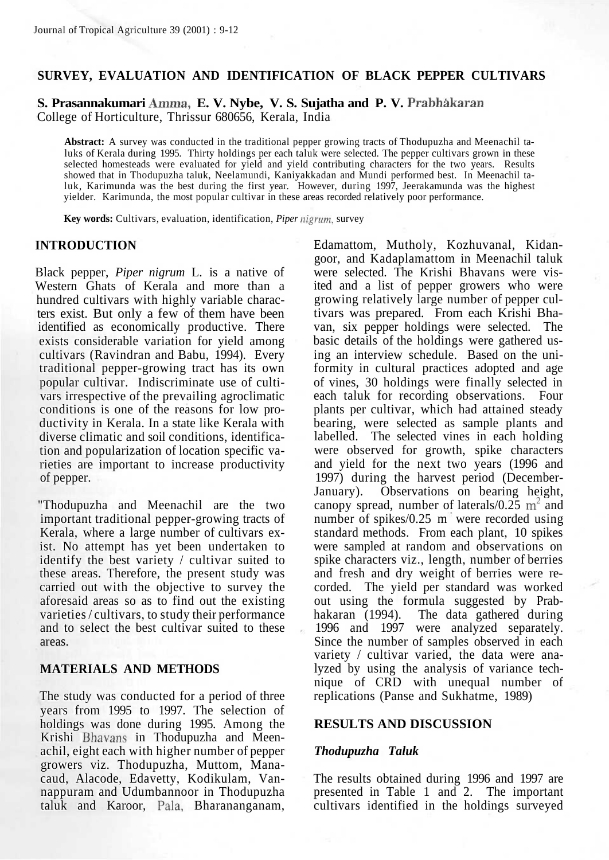# **SURVEY, EVALUATION AND IDENTIFICATION OF BLACK PEPPER CULTIVARS**

**S. Prasannakumari Amma, E. V. Nybe, V. S. Sujatha and P. V. Prabhakaran** College of Horticulture, Thrissur 680656, Kerala, India

**Abstract:** A survey was conducted in the traditional pepper growing tracts of Thodupuzha and Meenachil taluks of Kerala during 1995. Thirty holdings per each taluk were selected. The pepper cultivars grown in these selected homesteads were evaluated for yield and yield contributing characters for the two years. Results showed that in Thodupuzha taluk, Neelamundi, Kaniyakkadan and Mundi performed best. In Meenachil taluk, Karimunda was the best during the first year. However, during 1997, Jeerakamunda was the highest yielder. Karimunda, the most popular cultivar in these areas recorded relatively poor performance.

**Key words:** Cultivars, evaluation, identification, *Piper nigrum,* survey

### **INTRODUCTION**

Black pepper, *Piper nigrum* L. is a native of Western Ghats of Kerala and more than a hundred cultivars with highly variable characters exist. But only a few of them have been identified as economically productive. There exists considerable variation for yield among cultivars (Ravindran and Babu, 1994). Every traditional pepper-growing tract has its own popular cultivar. Indiscriminate use of cultivars irrespective of the prevailing agroclimatic conditions is one of the reasons for low productivity in Kerala. In a state like Kerala with diverse climatic and soil conditions, identification and popularization of location specific varieties are important to increase productivity of pepper.

"Thodupuzha and Meenachil are the two important traditional pepper-growing tracts of Kerala, where a large number of cultivars exist. No attempt has yet been undertaken to identify the best variety / cultivar suited to these areas. Therefore, the present study was carried out with the objective to survey the aforesaid areas so as to find out the existing varieties / cultivars, to study their performance and to select the best cultivar suited to these areas.

### **MATERIALS AND METHODS**

The study was conducted for a period of three years from 1995 to 1997. The selection of holdings was done during 1995. Among the Krishi Bhavans in Thodupuzha and Meenachil, eight each with higher number of pepper growers viz. Thodupuzha, Muttom, Manacaud, Alacode, Edavetty, Kodikulam, Vannappuram and Udumbannoor in Thodupuzha taluk and Karoor, Pala, Bharananganam, Edamattom, Mutholy, Kozhuvanal, Kidangoor, and Kadaplamattom in Meenachil taluk were selected. The Krishi Bhavans were visited and a list of pepper growers who were growing relatively large number of pepper cultivars was prepared. From each Krishi Bhavan, six pepper holdings were selected. The basic details of the holdings were gathered using an interview schedule. Based on the uniformity in cultural practices adopted and age of vines, 30 holdings were finally selected in each taluk for recording observations. Four plants per cultivar, which had attained steady bearing, were selected as sample plants and labelled. The selected vines in each holding were observed for growth, spike characters and yield for the next two years (1996 and 1997) during the harvest period (December-January). Observations on bearing height, canopy spread, number of laterals/ $0.25 \text{ m}^2$  and number of spikes/0.25 m were recorded using standard methods. From each plant, 10 spikes were sampled at random and observations on spike characters viz., length, number of berries and fresh and dry weight of berries were recorded. The yield per standard was worked out using the formula suggested by Prabhakaran (1994). The data gathered during 1996 and 1997 were analyzed separately. Since the number of samples observed in each variety / cultivar varied, the data were analyzed by using the analysis of variance technique of CRD with unequal number of replications (Panse and Sukhatme, 1989)

#### **RESULTS AND DISCUSSION**

#### *Thodupuzha Taluk*

The results obtained during 1996 and 1997 are presented in Table 1 and 2. The important cultivars identified in the holdings surveyed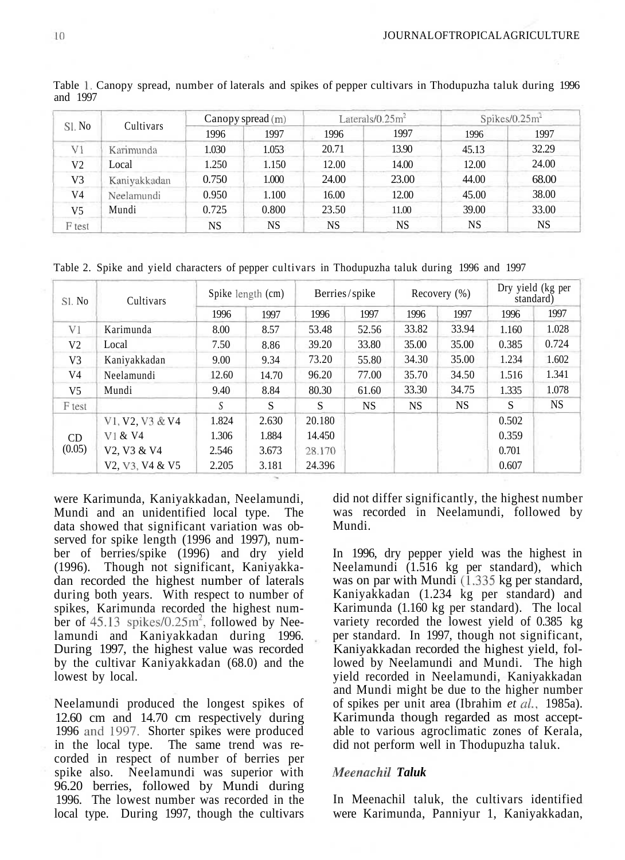| Sl. No         | Cultivars    | Canopy spread $(m)$ |           |       | Laterals/ $0.25m^2$ | Spikes/0.25m <sup>2</sup> |       |  |
|----------------|--------------|---------------------|-----------|-------|---------------------|---------------------------|-------|--|
|                |              | 1996                | 1997      | 1996  | 1997                | 1996                      | 1997  |  |
| V1             | Karimunda    | 1.030               | 1.053     | 20.71 | 13.90               | 45.13                     | 32.29 |  |
| V <sub>2</sub> | Local        | 1.250               | 1.150     | 12.00 | 14.00               | 12.00                     | 24.00 |  |
| V3             | Kaniyakkadan | 0.750               | 1.000     | 24.00 | 23.00               | 44.00                     | 68.00 |  |
| V4             | Neelamundi   | 0.950               | 1.100     | 16.00 | 12.00               | 45.00                     | 38.00 |  |
| V5             | Mundi        | 0.725               | 0.800     | 23.50 | 11.00               | 39.00                     | 33.00 |  |
| F test         |              | NS                  | <b>NS</b> | NS    | NS                  | NS                        | NS    |  |

Table 1. Canopy spread, number of laterals and spikes of pepper cultivars in Thodupuzha taluk during 1996 and 1997

Table 2. Spike and yield characters of pepper cultivars in Thodupuzha taluk during 1996 and 1997

| Sl. No                   | Cultivars                                                         | Spike length (cm) |       | Berries/spike |       | Recovery $(\%)$ |       | Dry yield (kg per<br>standard) |       |
|--------------------------|-------------------------------------------------------------------|-------------------|-------|---------------|-------|-----------------|-------|--------------------------------|-------|
|                          |                                                                   | 1996              | 1997  | 1996          | 1997  | 1996            | 1997  | 1996                           | 1997  |
| V <sub>1</sub>           | Karimunda                                                         | 8.00              | 8.57  | 53.48         | 52.56 | 33.82           | 33.94 | 1.160                          | 1.028 |
| V2                       | Local                                                             | 7.50              | 8.86  | 39.20         | 33.80 | 35.00           | 35.00 | 0.385                          | 0.724 |
| V <sub>3</sub>           | Kaniyakkadan                                                      | 9.00              | 9.34  | 73.20         | 55.80 | 34.30           | 35.00 | 1.234                          | 1.602 |
| V4                       | Neelamundi                                                        | 12.60             | 14.70 | 96.20         | 77.00 | 35.70           | 34.50 | 1.516                          | 1.341 |
| V5                       | Mundi                                                             | 9.40              | 8.84  | 80.30         | 61.60 | 33.30           | 34.75 | 1.335                          | 1.078 |
| F test                   |                                                                   | S                 | S     | S             | NS.   | NS.             | NS.   | S                              | NS    |
|                          | V1, V2, V3 & V4                                                   | 1.824             | 2.630 | 20.180        |       |                 |       | 0.502                          |       |
| C <sub>D</sub><br>(0.05) | V1 & 8V4                                                          | 1.306             | 1.884 | 14.450        |       |                 |       | 0.359                          |       |
|                          | V <sub>2</sub> . V <sub>3</sub> & V <sub>4</sub>                  | 2.546             | 3.673 | 28.170        |       |                 |       | 0.701                          |       |
|                          | V <sub>2</sub> , V <sub>3</sub> , V <sub>4</sub> & V <sub>5</sub> | 2.205             | 3.181 | 24.396        |       |                 |       | 0.607                          |       |

were Karimunda, Kaniyakkadan, Neelamundi, Mundi and an unidentified local type. The data showed that significant variation was observed for spike length (1996 and 1997), number of berries/spike (1996) and dry yield (1996). Though not significant, Kaniyakkadan recorded the highest number of laterals during both years. With respect to number of spikes, Karimunda recorded the highest number of  $45.13$  spikes/0.25 $m^2$ , followed by Neelamundi and Kaniyakkadan during 1996. During 1997, the highest value was recorded by the cultivar Kaniyakkadan (68.0) and the lowest by local.

Neelamundi produced the longest spikes of 12.60 cm and 14.70 cm respectively during 1996 and 1997. Shorter spikes were produced in the local type. The same trend was recorded in respect of number of berries per spike also. Neelamundi was superior with 96.20 berries, followed by Mundi during 1996. The lowest number was recorded in the local type. During 1997, though the cultivars

did not differ significantly, the highest number was recorded in Neelamundi, followed by Mundi.

In 1996, dry pepper yield was the highest in Neelamundi (1.516 kg per standard), which was on par with Mundi (1.335 kg per standard, Kaniyakkadan (1.234 kg per standard) and Karimunda (1.160 kg per standard). The local variety recorded the lowest yield of 0.385 kg per standard. In 1997, though not significant, Kaniyakkadan recorded the highest yield, followed by Neelamundi and Mundi. The high yield recorded in Neelamundi, Kaniyakkadan and Mundi might be due to the higher number of spikes per unit area (Ibrahim *et al,* 1985a). Karimunda though regarded as most acceptable to various agroclimatic zones of Kerala, did not perform well in Thodupuzha taluk.

### *Meenachil Taluk*

In Meenachil taluk, the cultivars identified were Karimunda, Panniyur 1, Kaniyakkadan,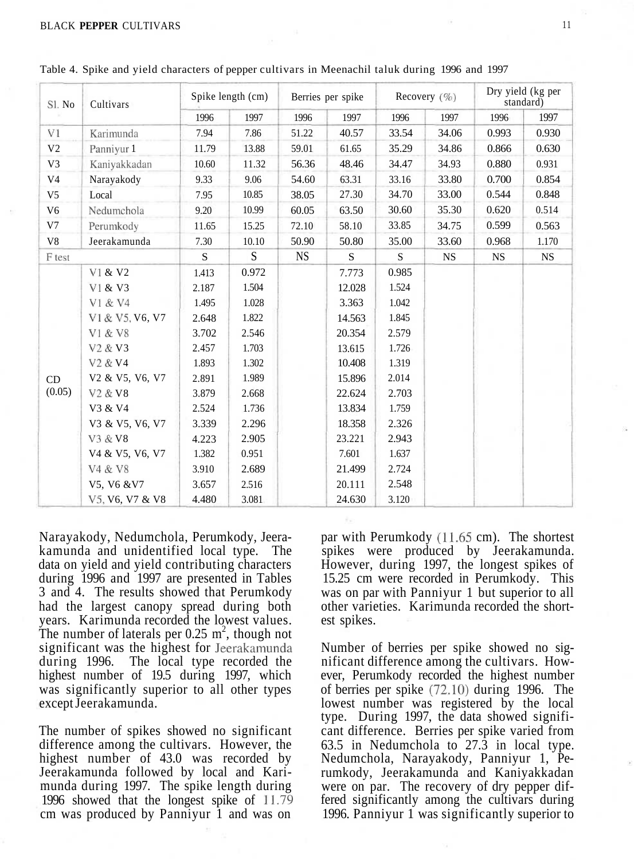| Sl. No         | Cultivars                                                         | Spike length (cm) |       | Berries per spike |        | Recovery $(\% )$ |           | Dry yield (kg per<br>standard) |           |
|----------------|-------------------------------------------------------------------|-------------------|-------|-------------------|--------|------------------|-----------|--------------------------------|-----------|
|                |                                                                   | 1996              | 1997  | 1996              | 1997   | 1996             | 1997      | 1996                           | 1997      |
| V1             | Karimunda                                                         | 7.94              | 7.86  | 51.22             | 40.57  | 33.54            | 34.06     | 0.993                          | 0.930     |
| V <sub>2</sub> | Panniyur 1                                                        | 11.79             | 13.88 | 59.01             | 61.65  | 35.29            | 34.86     | 0.866                          | 0.630     |
| V3             | Kaniyakkadan                                                      | 10.60             | 11.32 | 56.36             | 48.46  | 34.47            | 34.93     | 0.880                          | 0.931     |
| V <sub>4</sub> | Narayakody                                                        | 9.33              | 9.06  | 54.60             | 63.31  | 33.16            | 33.80     | 0.700                          | 0.854     |
| V <sub>5</sub> | Local                                                             | 7.95              | 10.85 | 38.05             | 27.30  | 34.70            | 33.00     | 0.544                          | 0.848     |
| V <sub>6</sub> | Nedumchola                                                        | 9.20              | 10.99 | 60.05             | 63.50  | 30.60            | 35.30     | 0.620                          | 0.514     |
| V7             | Perumkody                                                         | 11.65             | 15.25 | 72.10             | 58.10  | 33.85            | 34.75     | 0.599                          | 0.563     |
| V8             | Jeerakamunda                                                      | 7.30              | 10.10 | 50.90             | 50.80  | 35.00            | 33.60     | 0.968                          | 1.170     |
| F test         |                                                                   | S                 | S     | <b>NS</b>         | S      | S                | <b>NS</b> | <b>NS</b>                      | <b>NS</b> |
|                | V1 & V2                                                           | 1.413             | 0.972 |                   | 7.773  | 0.985            |           |                                |           |
| CD<br>(0.05)   | V1 & V3                                                           | 2.187             | 1.504 |                   | 12.028 | 1.524            |           |                                |           |
|                | V1 & V4                                                           | 1.495             | 1.028 |                   | 3.363  | 1.042            |           |                                |           |
|                | V1 & V5, V6, V7                                                   | 2.648             | 1.822 |                   | 14.563 | 1.845            |           |                                |           |
|                | V1 & V8                                                           | 3.702             | 2.546 |                   | 20.354 | 2.579            |           |                                |           |
|                | V <sub>2</sub> & V <sub>3</sub>                                   | 2.457             | 1.703 |                   | 13.615 | 1.726            |           |                                |           |
|                | V <sub>2</sub> & V <sub>4</sub>                                   | 1.893             | 1.302 |                   | 10.408 | 1.319            |           |                                |           |
|                | V <sub>2</sub> & V <sub>5</sub> , V <sub>6</sub> , V <sub>7</sub> | 2.891             | 1.989 |                   | 15.896 | 2.014            |           |                                |           |
|                | V <sub>2</sub> & V <sub>8</sub>                                   | 3.879             | 2.668 |                   | 22.624 | 2.703            |           |                                |           |
|                | V3 & V4                                                           | 2.524             | 1.736 |                   | 13.834 | 1.759            |           |                                |           |
|                | V3 & V5, V6, V7                                                   | 3.339             | 2.296 |                   | 18.358 | 2.326            |           |                                |           |
|                | V3 & V8                                                           | 4.223             | 2.905 |                   | 23.221 | 2.943            |           |                                |           |
|                | V4 & V5, V6, V7                                                   | 1.382             | 0.951 |                   | 7.601  | 1.637            |           |                                |           |
|                | V4 & V8                                                           | 3.910             | 2.689 |                   | 21.499 | 2.724            |           |                                |           |
|                | V5, V6 & V7                                                       | 3.657             | 2.516 |                   | 20.111 | 2.548            |           |                                |           |
|                | V5, V6, V7 & V8                                                   | 4.480             | 3.081 |                   | 24.630 | 3.120            |           |                                |           |

Table 4. Spike and yield characters of pepper cultivars in Meenachil taluk during 1996 and 1997

Narayakody, Nedumchola, Perumkody, Jeerakamunda and unidentified local type. The data on yield and yield contributing characters during 1996 and 1997 are presented in Tables 3 and 4. The results showed that Perumkody had the largest canopy spread during both years. Karimunda recorded the lowest values. The number of laterals per 0.25  $m^2$ , though not significant was the highest for Jeerakamunda during 1996. The local type recorded the highest number of 19.5 during 1997, which was significantly superior to all other types except Jeerakamunda.

The number of spikes showed no significant difference among the cultivars. However, the highest number of 43.0 was recorded by Jeerakamunda followed by local and Karimunda during 1997. The spike length during 1996 showed that the longest spike of 11.79 cm was produced by Panniyur 1 and was on

par with Perumkody (11.65 cm). The shortest spikes were produced by Jeerakamunda. However, during 1997, the longest spikes of 15.25 cm were recorded in Perumkody. This was on par with Panniyur 1 but superior to all other varieties. Karimunda recorded the shortest spikes.

Number of berries per spike showed no significant difference among the cultivars. However, Perumkody recorded the highest number of berries per spike (72.10) during 1996. The lowest number was registered by the local type. During 1997, the data showed significant difference. Berries per spike varied from 63.5 in Nedumchola to 27.3 in local type. Nedumchola, Narayakody, Panniyur 1, Perumkody, Jeerakamunda and Kaniyakkadan were on par. The recovery of dry pepper differed significantly among the cultivars during 1996. Panniyur 1 was significantly superior to